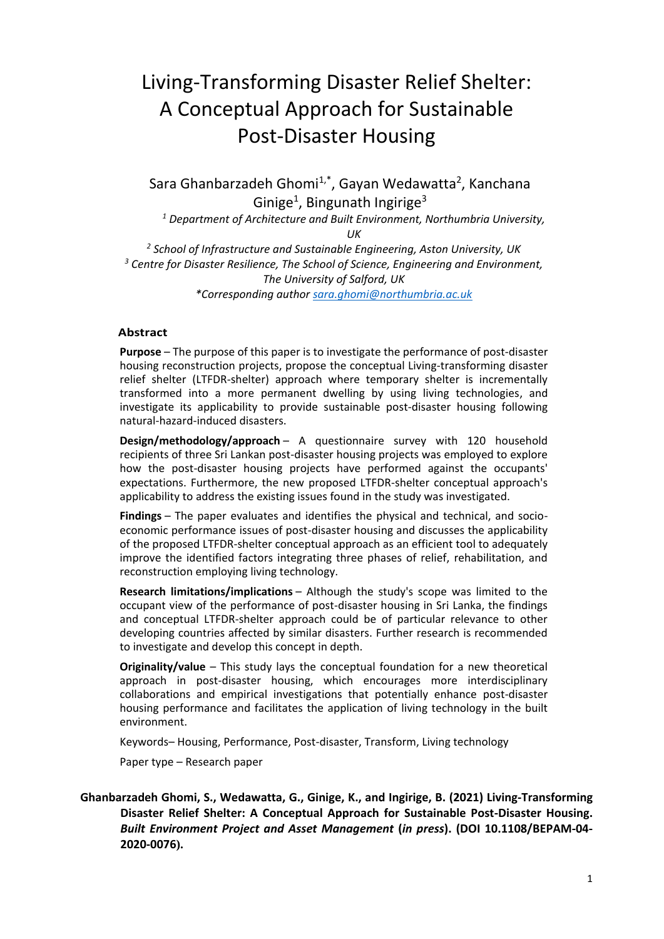# Living-Transforming Disaster Relief Shelter: A Conceptual Approach for Sustainable Post-Disaster Housing

Sara Ghanbarzadeh Ghomi<sup>1,\*</sup>, Gayan Wedawatta<sup>2</sup>, Kanchana Ginige<sup>1</sup>, Bingunath Ingirige<sup>3</sup>

*<sup>1</sup> Department of Architecture and Built Environment, Northumbria University, UK*

*2 School of Infrastructure and Sustainable Engineering, Aston University, UK <sup>3</sup> Centre for Disaster Resilience, The School of Science, Engineering and Environment, The University of Salford, UK \*Corresponding author [sara.ghomi@northumbria.ac.uk](mailto:sara.ghomi@northumbria.ac.uk)*

#### **Abstract**

**Purpose** – The purpose of this paper is to investigate the performance of post-disaster housing reconstruction projects, propose the conceptual Living-transforming disaster relief shelter (LTFDR-shelter) approach where temporary shelter is incrementally transformed into a more permanent dwelling by using living technologies, and investigate its applicability to provide sustainable post-disaster housing following natural-hazard-induced disasters.

**Design/methodology/approach** – A questionnaire survey with 120 household recipients of three Sri Lankan post-disaster housing projects was employed to explore how the post-disaster housing projects have performed against the occupants' expectations. Furthermore, the new proposed LTFDR-shelter conceptual approach's applicability to address the existing issues found in the study was investigated.

**Findings** – The paper evaluates and identifies the physical and technical, and socioeconomic performance issues of post-disaster housing and discusses the applicability of the proposed LTFDR-shelter conceptual approach as an efficient tool to adequately improve the identified factors integrating three phases of relief, rehabilitation, and reconstruction employing living technology.

**Research limitations/implications** – Although the study's scope was limited to the occupant view of the performance of post-disaster housing in Sri Lanka, the findings and conceptual LTFDR-shelter approach could be of particular relevance to other developing countries affected by similar disasters. Further research is recommended to investigate and develop this concept in depth.

**Originality/value** – This study lays the conceptual foundation for a new theoretical approach in post-disaster housing, which encourages more interdisciplinary collaborations and empirical investigations that potentially enhance post-disaster housing performance and facilitates the application of living technology in the built environment.

Keywords– Housing, Performance, Post-disaster, Transform, Living technology

Paper type – Research paper

## **Ghanbarzadeh Ghomi, S., Wedawatta, G., Ginige, K., and Ingirige, B. (2021) Living-Transforming Disaster Relief Shelter: A Conceptual Approach for Sustainable Post-Disaster Housing.**  *Built Environment Project and Asset Management* **(***in press***). (DOI 10.1108/BEPAM-04- 2020-0076).**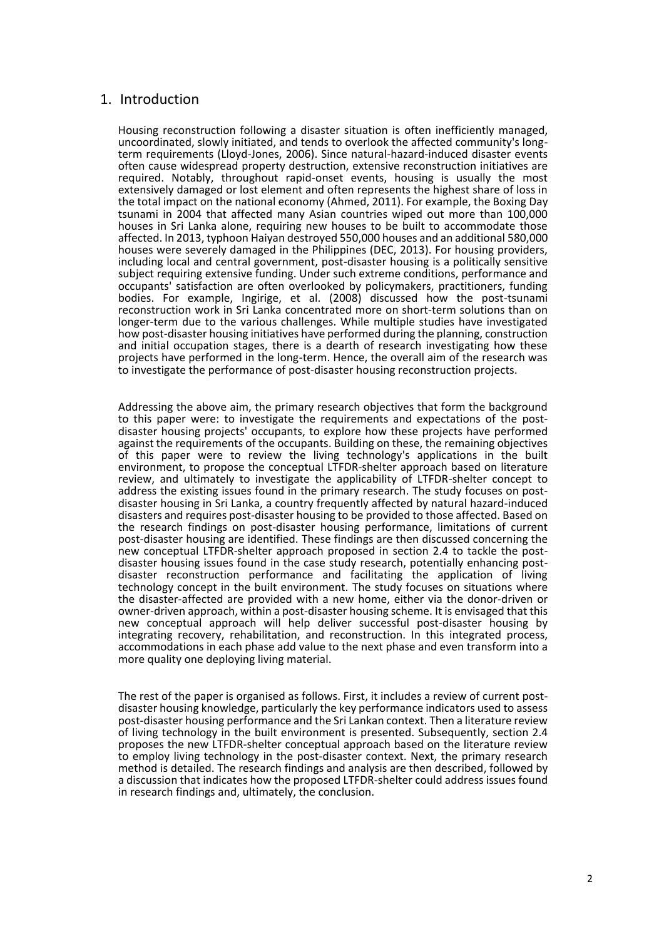# 1. Introduction

Housing reconstruction following a disaster situation is often inefficiently managed, uncoordinated, slowly initiated, and tends to overlook the affected community's longterm requirements (Lloyd-Jones, 2006). Since natural-hazard-induced disaster events often cause widespread property destruction, extensive reconstruction initiatives are required. Notably, throughout rapid-onset events, housing is usually the most extensively damaged or lost element and often represents the highest share of loss in the total impact on the national economy (Ahmed, 2011). For example, the Boxing Day tsunami in 2004 that affected many Asian countries wiped out more than 100,000 houses in Sri Lanka alone, requiring new houses to be built to accommodate those affected. In 2013, typhoon Haiyan destroyed 550,000 houses and an additional 580,000 houses were severely damaged in the Philippines (DEC, 2013). For housing providers, including local and central government, post-disaster housing is a politically sensitive subject requiring extensive funding. Under such extreme conditions, performance and occupants' satisfaction are often overlooked by policymakers, practitioners, funding bodies. For example, Ingirige, et al. (2008) discussed how the post-tsunami reconstruction work in Sri Lanka concentrated more on short-term solutions than on longer-term due to the various challenges. While multiple studies have investigated how post-disaster housing initiatives have performed during the planning, construction and initial occupation stages, there is a dearth of research investigating how these projects have performed in the long-term. Hence, the overall aim of the research was to investigate the performance of post-disaster housing reconstruction projects.

Addressing the above aim, the primary research objectives that form the background to this paper were: to investigate the requirements and expectations of the postdisaster housing projects' occupants, to explore how these projects have performed against the requirements of the occupants. Building on these, the remaining objectives of this paper were to review the living technology's applications in the built environment, to propose the conceptual LTFDR-shelter approach based on literature review, and ultimately to investigate the applicability of LTFDR-shelter concept to address the existing issues found in the primary research. The study focuses on postdisaster housing in Sri Lanka, a country frequently affected by natural hazard-induced disasters and requires post-disaster housing to be provided to those affected. Based on the research findings on post-disaster housing performance, limitations of current post-disaster housing are identified. These findings are then discussed concerning the new conceptual LTFDR-shelter approach proposed in section 2.4 to tackle the postdisaster housing issues found in the case study research, potentially enhancing postdisaster reconstruction performance and facilitating the application of living technology concept in the built environment. The study focuses on situations where the disaster-affected are provided with a new home, either via the donor-driven or owner-driven approach, within a post-disaster housing scheme. It is envisaged that this new conceptual approach will help deliver successful post-disaster housing by integrating recovery, rehabilitation, and reconstruction. In this integrated process, accommodations in each phase add value to the next phase and even transform into a more quality one deploying living material.

The rest of the paper is organised as follows. First, it includes a review of current postdisaster housing knowledge, particularly the key performance indicators used to assess post-disaster housing performance and the Sri Lankan context. Then a literature review of living technology in the built environment is presented. Subsequently, section 2.4 proposes the new LTFDR-shelter conceptual approach based on the literature review to employ living technology in the post-disaster context. Next, the primary research method is detailed. The research findings and analysis are then described, followed by a discussion that indicates how the proposed LTFDR-shelter could address issues found in research findings and, ultimately, the conclusion.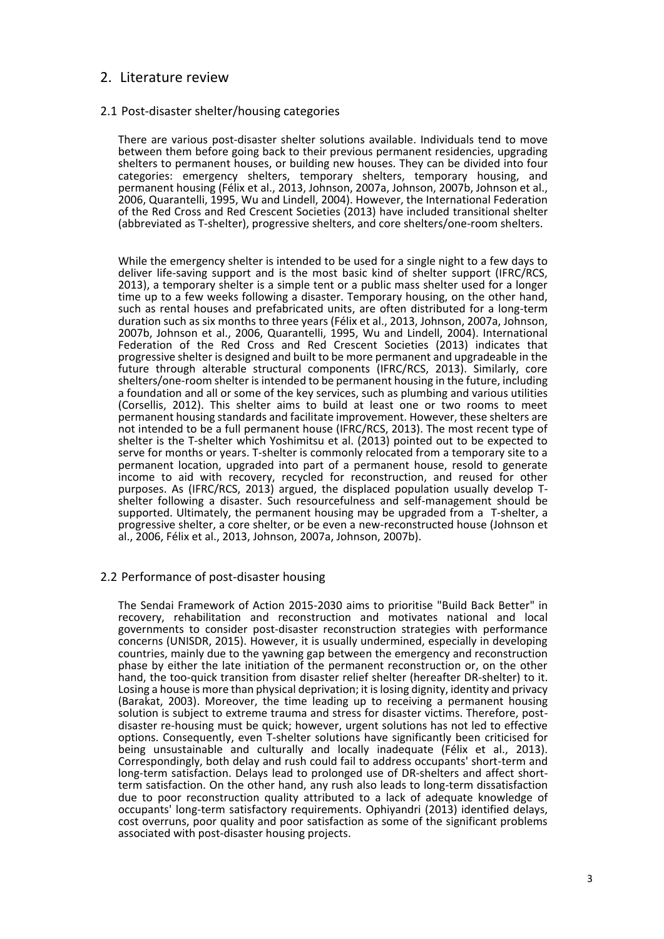## 2. Literature review

#### 2.1 Post-disaster shelter/housing categories

There are various post-disaster shelter solutions available. Individuals tend to move between them before going back to their previous permanent residencies, upgrading shelters to permanent houses, or building new houses. They can be divided into four categories: emergency shelters, temporary shelters, temporary housing, and permanent housing (Félix et al., 2013, Johnson, 2007a, Johnson, 2007b, Johnson et al., 2006, Quarantelli, 1995, Wu and Lindell, 2004). However, the International Federation of the Red Cross and Red Crescent Societies (2013) have included transitional shelter (abbreviated as T-shelter), progressive shelters, and core shelters/one-room shelters.

While the emergency shelter is intended to be used for a single night to a few days to deliver life-saving support and is the most basic kind of shelter support (IFRC/RCS, 2013), a temporary shelter is a simple tent or a public mass shelter used for a longer time up to a few weeks following a disaster. Temporary housing, on the other hand, such as rental houses and prefabricated units, are often distributed for a long-term duration such as six months to three years (Félix et al., 2013, Johnson, 2007a, Johnson, 2007b, Johnson et al., 2006, Quarantelli, 1995, Wu and Lindell, 2004). International Federation of the Red Cross and Red Crescent Societies (2013) indicates that progressive shelter is designed and built to be more permanent and upgradeable in the future through alterable structural components (IFRC/RCS, 2013). Similarly, core shelters/one-room shelter is intended to be permanent housing in the future, including a foundation and all or some of the key services, such as plumbing and various utilities (Corsellis, 2012). This shelter aims to build at least one or two rooms to meet permanent housing standards and facilitate improvement. However, these shelters are not intended to be a full permanent house (IFRC/RCS, 2013). The most recent type of shelter is the T-shelter which Yoshimitsu et al. (2013) pointed out to be expected to serve for months or years. T-shelter is commonly relocated from a temporary site to a permanent location, upgraded into part of a permanent house, resold to generate income to aid with recovery, recycled for reconstruction, and reused for other purposes. As (IFRC/RCS, 2013) argued, the displaced population usually develop Tshelter following a disaster. Such resourcefulness and self-management should be supported. Ultimately, the permanent housing may be upgraded from a T-shelter, a progressive shelter, a core shelter, or be even a new-reconstructed house (Johnson et al., 2006, Félix et al., 2013, Johnson, 2007a, Johnson, 2007b).

#### 2.2 Performance of post-disaster housing

The Sendai Framework of Action 2015-2030 aims to prioritise "Build Back Better" in recovery, rehabilitation and reconstruction and motivates national and local governments to consider post-disaster reconstruction strategies with performance concerns (UNISDR, 2015). However, it is usually undermined, especially in developing countries, mainly due to the yawning gap between the emergency and reconstruction phase by either the late initiation of the permanent reconstruction or, on the other hand, the too-quick transition from disaster relief shelter (hereafter DR-shelter) to it. Losing a house is more than physical deprivation; it is losing dignity, identity and privacy (Barakat, 2003). Moreover, the time leading up to receiving a permanent housing solution is subject to extreme trauma and stress for disaster victims. Therefore, postdisaster re-housing must be quick; however, urgent solutions has not led to effective options. Consequently, even T-shelter solutions have significantly been criticised for being unsustainable and culturally and locally inadequate (Félix et al., 2013). Correspondingly, both delay and rush could fail to address occupants' short-term and long-term satisfaction. Delays lead to prolonged use of DR-shelters and affect shortterm satisfaction. On the other hand, any rush also leads to long-term dissatisfaction due to poor reconstruction quality attributed to a lack of adequate knowledge of occupants' long-term satisfactory requirements. Ophiyandri (2013) identified delays, cost overruns, poor quality and poor satisfaction as some of the significant problems associated with post-disaster housing projects.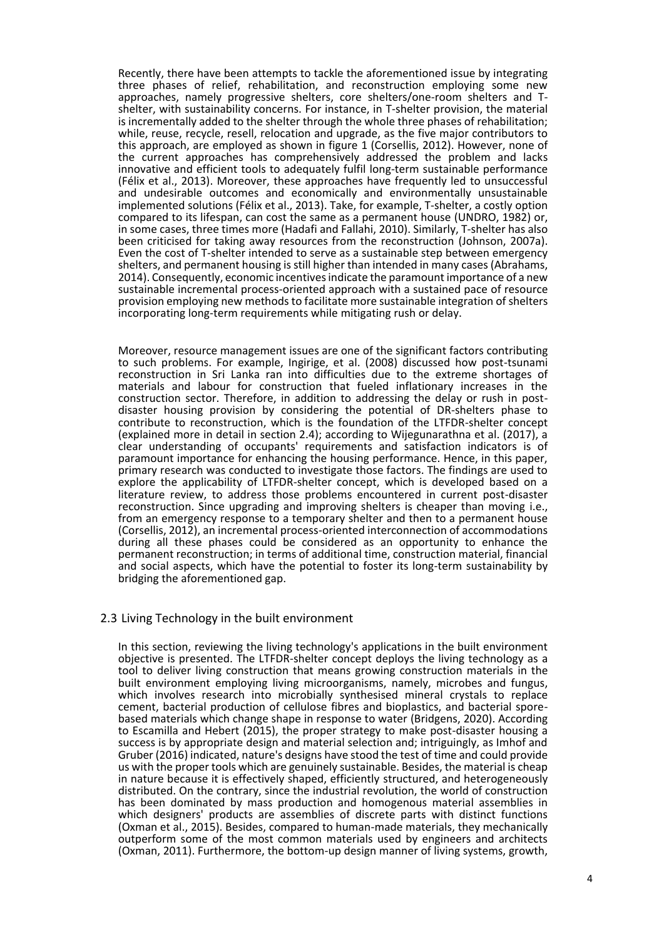Recently, there have been attempts to tackle the aforementioned issue by integrating three phases of relief, rehabilitation, and reconstruction employing some new approaches, namely progressive shelters, core shelters/one-room shelters and Tshelter, with sustainability concerns. For instance, in T-shelter provision, the material is incrementally added to the shelter through the whole three phases of rehabilitation; while, reuse, recycle, resell, relocation and upgrade, as the five major contributors to this approach, are employed as shown in figure 1 (Corsellis, 2012). However, none of the current approaches has comprehensively addressed the problem and lacks innovative and efficient tools to adequately fulfil long-term sustainable performance (Félix et al., 2013). Moreover, these approaches have frequently led to unsuccessful and undesirable outcomes and economically and environmentally unsustainable implemented solutions (Félix et al., 2013). Take, for example, T-shelter, a costly option compared to its lifespan, can cost the same as a permanent house (UNDRO, 1982) or, in some cases, three times more (Hadafi and Fallahi, 2010). Similarly, T-shelter has also been criticised for taking away resources from the reconstruction (Johnson, 2007a). Even the cost of T-shelter intended to serve as a sustainable step between emergency shelters, and permanent housing is still higher than intended in many cases (Abrahams, 2014). Consequently, economic incentives indicate the paramount importance of a new sustainable incremental process-oriented approach with a sustained pace of resource provision employing new methods to facilitate more sustainable integration of shelters incorporating long-term requirements while mitigating rush or delay.

Moreover, resource management issues are one of the significant factors contributing to such problems. For example, Ingirige, et al. (2008) discussed how post-tsunami reconstruction in Sri Lanka ran into difficulties due to the extreme shortages of materials and labour for construction that fueled inflationary increases in the construction sector. Therefore, in addition to addressing the delay or rush in postdisaster housing provision by considering the potential of DR-shelters phase to contribute to reconstruction, which is the foundation of the LTFDR-shelter concept (explained more in detail in section 2.4); according to Wijegunarathna et al. (2017), a clear understanding of occupants' requirements and satisfaction indicators is of paramount importance for enhancing the housing performance. Hence, in this paper, primary research was conducted to investigate those factors. The findings are used to explore the applicability of LTFDR-shelter concept, which is developed based on a literature review, to address those problems encountered in current post-disaster reconstruction. Since upgrading and improving shelters is cheaper than moving i.e., from an emergency response to a temporary shelter and then to a permanent house (Corsellis, 2012), an incremental process-oriented interconnection of accommodations during all these phases could be considered as an opportunity to enhance the permanent reconstruction; in terms of additional time, construction material, financial and social aspects, which have the potential to foster its long-term sustainability by bridging the aforementioned gap.

#### 2.3 Living Technology in the built environment

In this section, reviewing the living technology's applications in the built environment objective is presented. The LTFDR-shelter concept deploys the living technology as a tool to deliver living construction that means growing construction materials in the built environment employing living microorganisms, namely, microbes and fungus, which involves research into microbially synthesised mineral crystals to replace cement, bacterial production of cellulose fibres and bioplastics, and bacterial sporebased materials which change shape in response to water (Bridgens, 2020). According to Escamilla and Hebert (2015), the proper strategy to make post-disaster housing a success is by appropriate design and material selection and; intriguingly, as Imhof and Gruber (2016) indicated, nature's designs have stood the test of time and could provide us with the proper tools which are genuinely sustainable. Besides, the material is cheap in nature because it is effectively shaped, efficiently structured, and heterogeneously distributed. On the contrary, since the industrial revolution, the world of construction has been dominated by mass production and homogenous material assemblies in which designers' products are assemblies of discrete parts with distinct functions (Oxman et al., 2015). Besides, compared to human-made materials, they mechanically outperform some of the most common materials used by engineers and architects (Oxman, 2011). Furthermore, the bottom-up design manner of living systems, growth,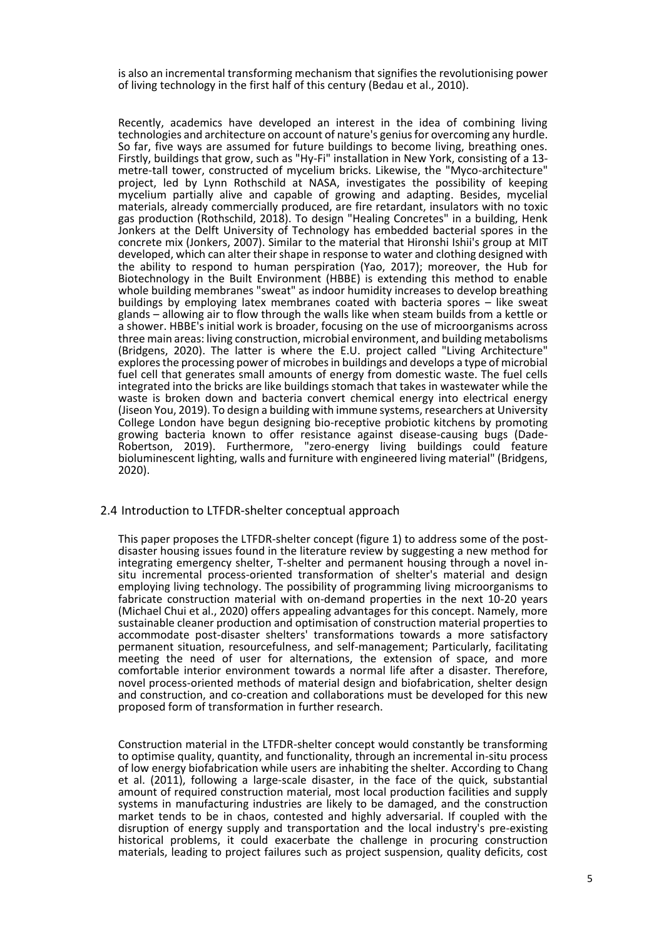is also an incremental transforming mechanism that signifies the revolutionising power of living technology in the first half of this century (Bedau et al., 2010).

Recently, academics have developed an interest in the idea of combining living technologies and architecture on account of nature's genius for overcoming any hurdle. So far, five ways are assumed for future buildings to become living, breathing ones. Firstly, buildings that grow, such as "Hy-Fi" installation in New York, consisting of a 13 metre-tall tower, constructed of mycelium bricks. Likewise, the "Myco-architecture" project, led by Lynn Rothschild at NASA, investigates the possibility of keeping mycelium partially alive and capable of growing and adapting. Besides, mycelial materials, already commercially produced, are fire retardant, insulators with no toxic gas production (Rothschild, 2018). To design "Healing Concretes" in a building, Henk Jonkers at the Delft University of Technology has embedded bacterial spores in the concrete mix (Jonkers, 2007). Similar to the material that Hironshi Ishii's group at MIT developed, which can alter their shape in response to water and clothing designed with the ability to respond to human perspiration (Yao, 2017); moreover, the Hub for Biotechnology in the Built Environment (HBBE) is extending this method to enable whole building membranes "sweat" as indoor humidity increases to develop breathing buildings by employing latex membranes coated with bacteria spores – like sweat glands – allowing air to flow through the walls like when steam builds from a kettle or a shower. HBBE's initial work is broader, focusing on the use of microorganisms across three main areas: living construction, microbial environment, and building metabolisms (Bridgens, 2020). The latter is where the E.U. project called "Living Architecture" explores the processing power of microbes in buildings and develops a type of microbial fuel cell that generates small amounts of energy from domestic waste. The fuel cells integrated into the bricks are like buildings stomach that takes in wastewater while the waste is broken down and bacteria convert chemical energy into electrical energy (Jiseon You, 2019). To design a building with immune systems, researchers at University College London have begun designing bio-receptive probiotic kitchens by promoting growing bacteria known to offer resistance against disease-causing bugs (Dade-Robertson, 2019). Furthermore, "zero-energy living buildings could feature bioluminescent lighting, walls and furniture with engineered living material" (Bridgens, 2020).

#### 2.4 Introduction to LTFDR-shelter conceptual approach

This paper proposes the LTFDR-shelter concept (figure 1) to address some of the postdisaster housing issues found in the literature review by suggesting a new method for integrating emergency shelter, T-shelter and permanent housing through a novel insitu incremental process-oriented transformation of shelter's material and design employing living technology. The possibility of programming living microorganisms to fabricate construction material with on-demand properties in the next 10-20 years (Michael Chui et al., 2020) offers appealing advantages for this concept. Namely, more sustainable cleaner production and optimisation of construction material properties to accommodate post-disaster shelters' transformations towards a more satisfactory permanent situation, resourcefulness, and self-management; Particularly, facilitating meeting the need of user for alternations, the extension of space, and more comfortable interior environment towards a normal life after a disaster. Therefore, novel process-oriented methods of material design and biofabrication, shelter design and construction, and co-creation and collaborations must be developed for this new proposed form of transformation in further research.

Construction material in the LTFDR-shelter concept would constantly be transforming to optimise quality, quantity, and functionality, through an incremental in-situ process of low energy biofabrication while users are inhabiting the shelter. According to Chang et al. (2011), following a large-scale disaster, in the face of the quick, substantial amount of required construction material, most local production facilities and supply systems in manufacturing industries are likely to be damaged, and the construction market tends to be in chaos, contested and highly adversarial. If coupled with the disruption of energy supply and transportation and the local industry's pre-existing historical problems, it could exacerbate the challenge in procuring construction materials, leading to project failures such as project suspension, quality deficits, cost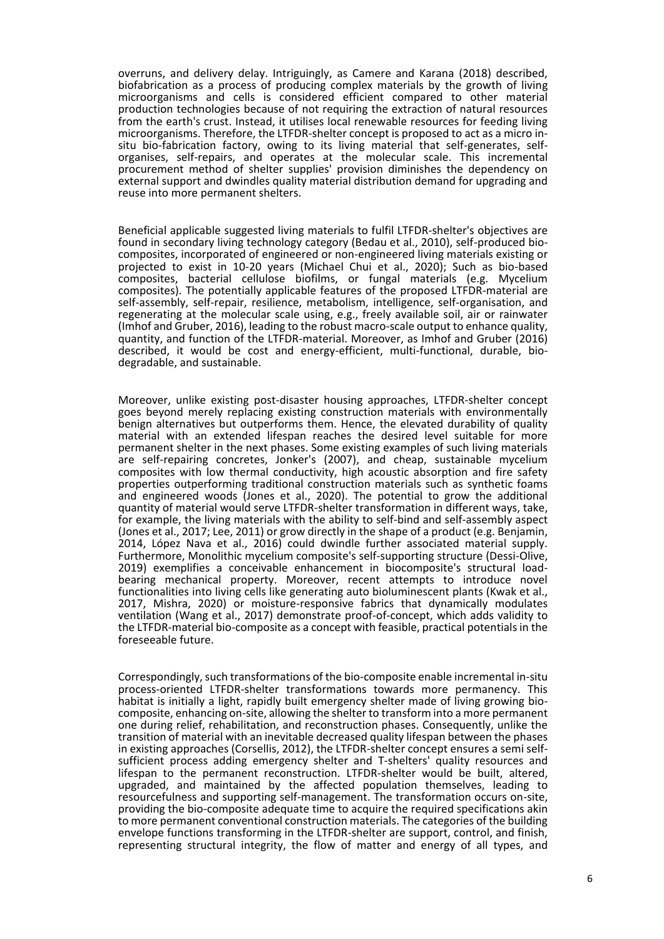overruns, and delivery delay. Intriguingly, as Camere and Karana (2018) described, biofabrication as a process of producing complex materials by the growth of living microorganisms and cells is considered efficient compared to other material production technologies because of not requiring the extraction of natural resources from the earth's crust. Instead, it utilises local renewable resources for feeding living microorganisms. Therefore, the LTFDR-shelter concept is proposed to act as a micro insitu bio-fabrication factory, owing to its living material that self-generates, selforganises, self-repairs, and operates at the molecular scale. This incremental procurement method of shelter supplies' provision diminishes the dependency on external support and dwindles quality material distribution demand for upgrading and reuse into more permanent shelters.

Beneficial applicable suggested living materials to fulfil LTFDR-shelter's objectives are found in secondary living technology category (Bedau et al., 2010), self-produced biocomposites, incorporated of engineered or non-engineered living materials existing or projected to exist in 10-20 years (Michael Chui et al., 2020); Such as bio-based composites, bacterial cellulose biofilms, or fungal materials (e.g. Mycelium composites). The potentially applicable features of the proposed LTFDR-material are self-assembly, self-repair, resilience, metabolism, intelligence, self-organisation, and regenerating at the molecular scale using, e.g., freely available soil, air or rainwater (Imhof and Gruber, 2016), leading to the robust macro-scale output to enhance quality, quantity, and function of the LTFDR-material. Moreover, as Imhof and Gruber (2016) described, it would be cost and energy-efficient, multi-functional, durable, biodegradable, and sustainable.

Moreover, unlike existing post-disaster housing approaches, LTFDR-shelter concept goes beyond merely replacing existing construction materials with environmentally benign alternatives but outperforms them. Hence, the elevated durability of quality material with an extended lifespan reaches the desired level suitable for more permanent shelter in the next phases. Some existing examples of such living materials are self-repairing concretes, Jonker's (2007), and cheap, sustainable mycelium composites with low thermal conductivity, high acoustic absorption and fire safety properties outperforming traditional construction materials such as synthetic foams and engineered woods (Jones et al., 2020). The potential to grow the additional quantity of material would serve LTFDR-shelter transformation in different ways, take, for example, the living materials with the ability to self-bind and self-assembly aspect (Jones et al., 2017; Lee, 2011) or grow directly in the shape of a product (e.g. Benjamin, 2014, López Nava et al., 2016) could dwindle further associated material supply. Furthermore, Monolithic mycelium composite's self-supporting structure (Dessi-Olive, 2019) exemplifies a conceivable enhancement in biocomposite's structural loadbearing mechanical property. Moreover, recent attempts to introduce novel functionalities into living cells like generating auto bioluminescent plants (Kwak et al., 2017, Mishra, 2020) or moisture-responsive fabrics that dynamically modulates ventilation (Wang et al., 2017) demonstrate proof-of-concept, which adds validity to the LTFDR-material bio-composite as a concept with feasible, practical potentials in the foreseeable future.

Correspondingly, such transformations of the bio-composite enable incremental in-situ process-oriented LTFDR-shelter transformations towards more permanency. This habitat is initially a light, rapidly built emergency shelter made of living growing biocomposite, enhancing on-site, allowing the shelter to transform into a more permanent one during relief, rehabilitation, and reconstruction phases. Consequently, unlike the transition of material with an inevitable decreased quality lifespan between the phases in existing approaches (Corsellis, 2012), the LTFDR-shelter concept ensures a semi selfsufficient process adding emergency shelter and T-shelters' quality resources and lifespan to the permanent reconstruction. LTFDR-shelter would be built, altered, upgraded, and maintained by the affected population themselves, leading to resourcefulness and supporting self-management. The transformation occurs on-site, providing the bio-composite adequate time to acquire the required specifications akin to more permanent conventional construction materials. The categories of the building envelope functions transforming in the LTFDR-shelter are support, control, and finish, representing structural integrity, the flow of matter and energy of all types, and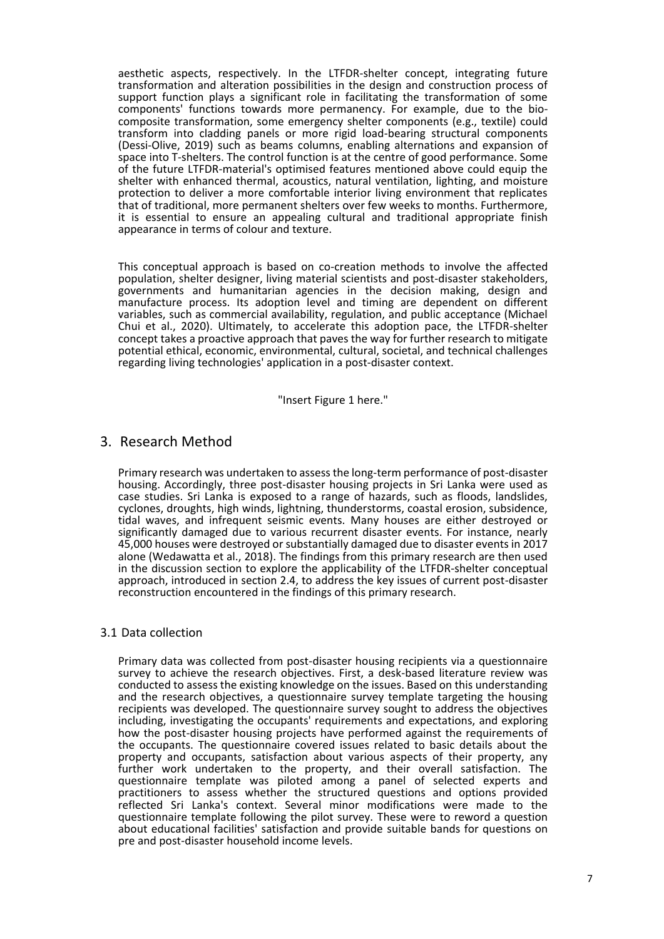aesthetic aspects, respectively. In the LTFDR-shelter concept, integrating future transformation and alteration possibilities in the design and construction process of support function plays a significant role in facilitating the transformation of some components' functions towards more permanency. For example, due to the biocomposite transformation, some emergency shelter components (e.g., textile) could transform into cladding panels or more rigid load-bearing structural components (Dessi-Olive, 2019) such as beams columns, enabling alternations and expansion of space into T-shelters. The control function is at the centre of good performance. Some of the future LTFDR-material's optimised features mentioned above could equip the shelter with enhanced thermal, acoustics, natural ventilation, lighting, and moisture protection to deliver a more comfortable interior living environment that replicates that of traditional, more permanent shelters over few weeks to months. Furthermore, it is essential to ensure an appealing cultural and traditional appropriate finish appearance in terms of colour and texture.

This conceptual approach is based on co-creation methods to involve the affected population, shelter designer, living material scientists and post-disaster stakeholders, governments and humanitarian agencies in the decision making, design and manufacture process. Its adoption level and timing are dependent on different variables, such as commercial availability, regulation, and public acceptance (Michael Chui et al., 2020). Ultimately, to accelerate this adoption pace, the LTFDR-shelter concept takes a proactive approach that paves the way for further research to mitigate potential ethical, economic, environmental, cultural, societal, and technical challenges regarding living technologies' application in a post-disaster context.

"Insert Figure 1 here."

## 3. Research Method

Primary research was undertaken to assess the long-term performance of post-disaster housing. Accordingly, three post-disaster housing projects in Sri Lanka were used as case studies. Sri Lanka is exposed to a range of hazards, such as floods, landslides, cyclones, droughts, high winds, lightning, thunderstorms, coastal erosion, subsidence, tidal waves, and infrequent seismic events. Many houses are either destroyed or significantly damaged due to various recurrent disaster events. For instance, nearly 45,000 houses were destroyed or substantially damaged due to disaster events in 2017 alone (Wedawatta et al., 2018). The findings from this primary research are then used in the discussion section to explore the applicability of the LTFDR-shelter conceptual approach, introduced in section 2.4, to address the key issues of current post-disaster reconstruction encountered in the findings of this primary research.

#### 3.1 Data collection

Primary data was collected from post-disaster housing recipients via a questionnaire survey to achieve the research objectives. First, a desk-based literature review was conducted to assess the existing knowledge on the issues. Based on this understanding and the research objectives, a questionnaire survey template targeting the housing recipients was developed. The questionnaire survey sought to address the objectives including, investigating the occupants' requirements and expectations, and exploring how the post-disaster housing projects have performed against the requirements of the occupants. The questionnaire covered issues related to basic details about the property and occupants, satisfaction about various aspects of their property, any further work undertaken to the property, and their overall satisfaction. The questionnaire template was piloted among a panel of selected experts and practitioners to assess whether the structured questions and options provided reflected Sri Lanka's context. Several minor modifications were made to the questionnaire template following the pilot survey. These were to reword a question about educational facilities' satisfaction and provide suitable bands for questions on pre and post-disaster household income levels.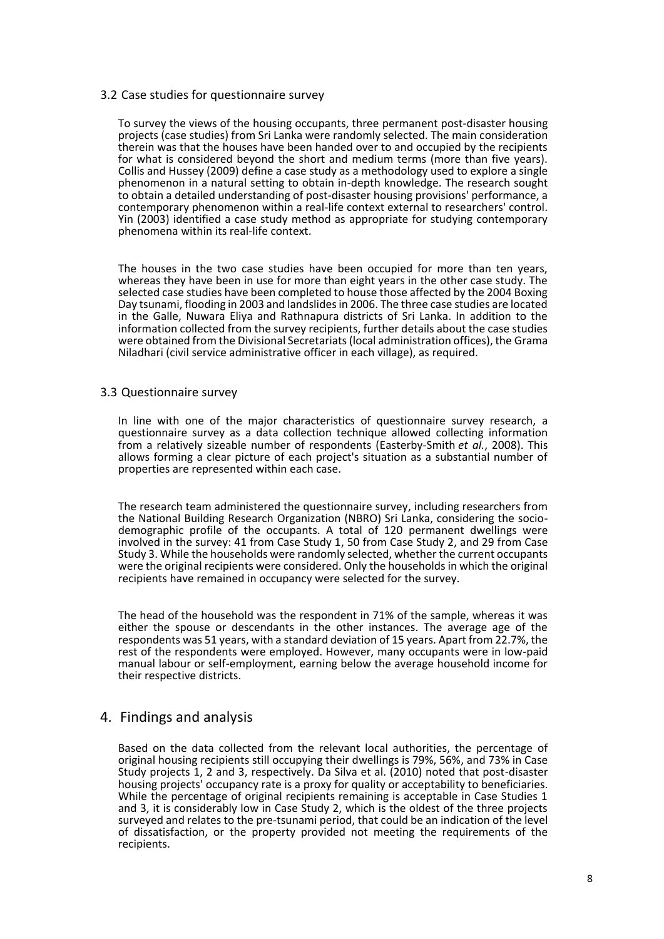#### 3.2 Case studies for questionnaire survey

To survey the views of the housing occupants, three permanent post-disaster housing projects (case studies) from Sri Lanka were randomly selected. The main consideration therein was that the houses have been handed over to and occupied by the recipients for what is considered beyond the short and medium terms (more than five years). Collis and Hussey [\(2009\)](#page-12-0) define a case study as a methodology used to explore a single phenomenon in a natural setting to obtain in-depth knowledge. The research sought to obtain a detailed understanding of post-disaster housing provisions' performance, a contemporary phenomenon within a real-life context external to researchers' control. Yin (2003) identified a case study method as appropriate for studying contemporary phenomena within its real-life context.

The houses in the two case studies have been occupied for more than ten years, whereas they have been in use for more than eight years in the other case study. The selected case studies have been completed to house those affected by the 2004 Boxing Day tsunami, flooding in 2003 and landslides in 2006. The three case studies are located in the Galle, Nuwara Eliya and Rathnapura districts of Sri Lanka. In addition to the information collected from the survey recipients, further details about the case studies were obtained from the Divisional Secretariats (local administration offices), the Grama Niladhari (civil service administrative officer in each village), as required.

#### 3.3 Questionnaire survey

In line with one of the major characteristics of questionnaire survey research, a questionnaire survey as a data collection technique allowed collecting information from a relatively sizeable number of respondents (Easterby-Smith *et al.*, 2008). This allows forming a clear picture of each project's situation as a substantial number of properties are represented within each case.

The research team administered the questionnaire survey, including researchers from the National Building Research Organization (NBRO) Sri Lanka, considering the sociodemographic profile of the occupants. A total of 120 permanent dwellings were involved in the survey: 41 from Case Study 1, 50 from Case Study 2, and 29 from Case Study 3. While the households were randomly selected, whether the current occupants were the original recipients were considered. Only the households in which the original recipients have remained in occupancy were selected for the survey.

The head of the household was the respondent in 71% of the sample, whereas it was either the spouse or descendants in the other instances. The average age of the respondents was 51 years, with a standard deviation of 15 years. Apart from 22.7%, the rest of the respondents were employed. However, many occupants were in low-paid manual labour or self-employment, earning below the average household income for their respective districts.

## 4. Findings and analysis

Based on the data collected from the relevant local authorities, the percentage of original housing recipients still occupying their dwellings is 79%, 56%, and 73% in Case Study projects 1, 2 and 3, respectively. Da Silva et al. (2010) noted that post-disaster housing projects' occupancy rate is a proxy for quality or acceptability to beneficiaries. While the percentage of original recipients remaining is acceptable in Case Studies 1 and 3, it is considerably low in Case Study 2, which is the oldest of the three projects surveyed and relates to the pre-tsunami period, that could be an indication of the level of dissatisfaction, or the property provided not meeting the requirements of the recipients.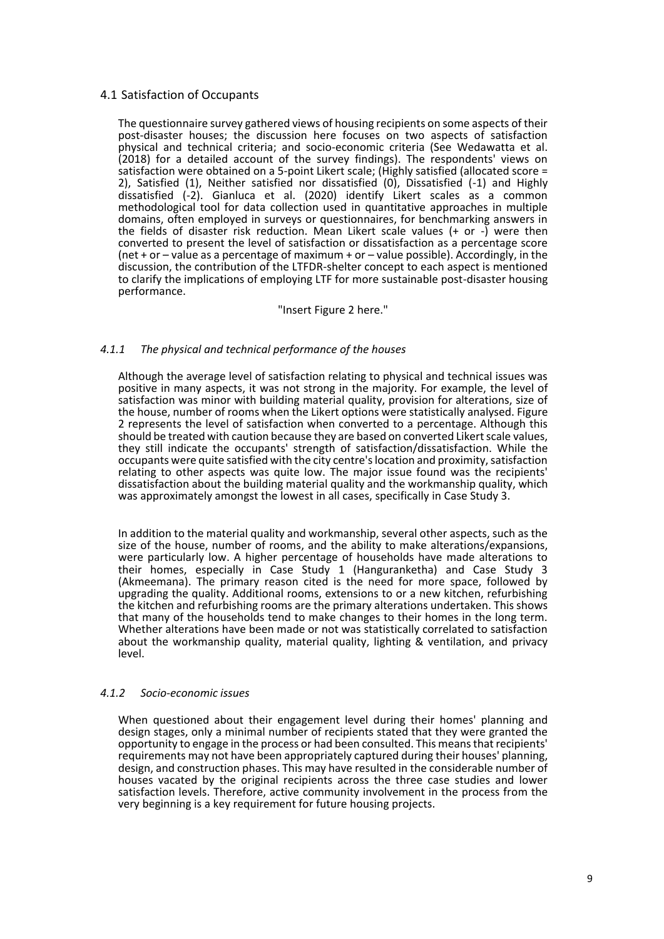#### 4.1 Satisfaction of Occupants

The questionnaire survey gathered views of housing recipients on some aspects of their post-disaster houses; the discussion here focuses on two aspects of satisfaction physical and technical criteria; and socio-economic criteria (See Wedawatta et al. (2018) for a detailed account of the survey findings). The respondents' views on satisfaction were obtained on a 5-point Likert scale; (Highly satisfied (allocated score = 2), Satisfied (1), Neither satisfied nor dissatisfied (0), Dissatisfied (-1) and Highly dissatisfied (-2). Gianluca et al. (2020) identify Likert scales as a common methodological tool for data collection used in quantitative approaches in multiple domains, often employed in surveys or questionnaires, for benchmarking answers in the fields of disaster risk reduction. Mean Likert scale values  $(+ \text{ or } -)$  were then converted to present the level of satisfaction or dissatisfaction as a percentage score (net + or – value as a percentage of maximum + or – value possible). Accordingly, in the discussion, the contribution of the LTFDR-shelter concept to each aspect is mentioned to clarify the implications of employing LTF for more sustainable post-disaster housing performance.

#### "Insert Figure 2 here."

#### *4.1.1 The physical and technical performance of the houses*

Although the average level of satisfaction relating to physical and technical issues was positive in many aspects, it was not strong in the majority. For example, the level of satisfaction was minor with building material quality, provision for alterations, size of the house, number of rooms when the Likert options were statistically analysed. Figure 2 represents the level of satisfaction when converted to a percentage. Although this should be treated with caution because they are based on converted Likert scale values, they still indicate the occupants' strength of satisfaction/dissatisfaction. While the occupants were quite satisfied with the city centre's location and proximity, satisfaction relating to other aspects was quite low. The major issue found was the recipients' dissatisfaction about the building material quality and the workmanship quality, which was approximately amongst the lowest in all cases, specifically in Case Study 3.

In addition to the material quality and workmanship, several other aspects, such as the size of the house, number of rooms, and the ability to make alterations/expansions, were particularly low. A higher percentage of households have made alterations to their homes, especially in Case Study 1 (Hanguranketha) and Case Study 3 (Akmeemana). The primary reason cited is the need for more space, followed by upgrading the quality. Additional rooms, extensions to or a new kitchen, refurbishing the kitchen and refurbishing rooms are the primary alterations undertaken. This shows that many of the households tend to make changes to their homes in the long term. Whether alterations have been made or not was statistically correlated to satisfaction about the workmanship quality, material quality, lighting & ventilation, and privacy level.

#### *4.1.2 Socio-economic issues*

When questioned about their engagement level during their homes' planning and design stages, only a minimal number of recipients stated that they were granted the opportunity to engage in the process or had been consulted. This means that recipients' requirements may not have been appropriately captured during their houses' planning, design, and construction phases. This may have resulted in the considerable number of houses vacated by the original recipients across the three case studies and lower satisfaction levels. Therefore, active community involvement in the process from the very beginning is a key requirement for future housing projects.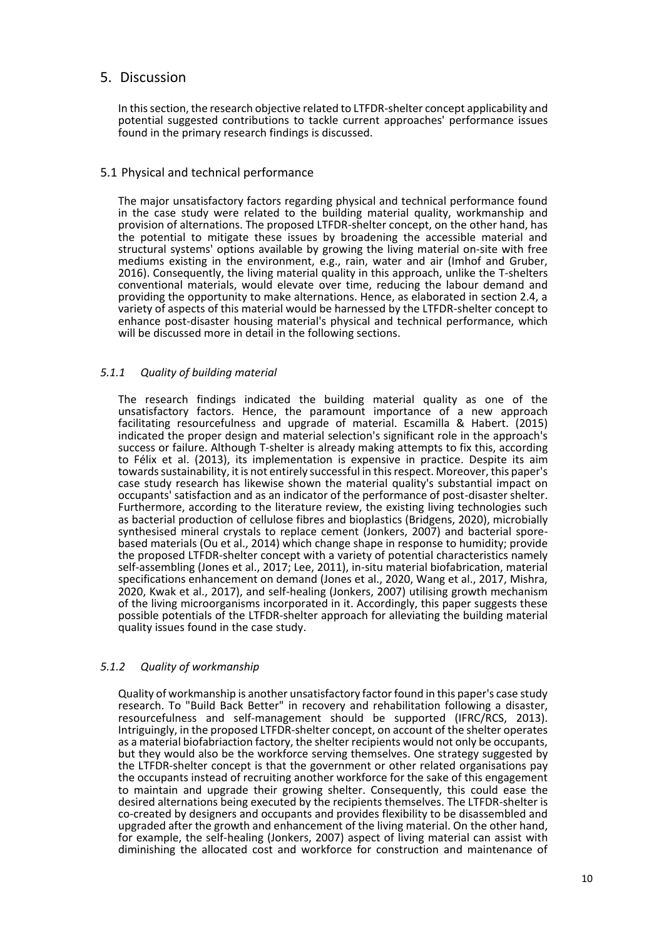# 5. Discussion

In this section, the research objective related to LTFDR-shelter concept applicability and potential suggested contributions to tackle current approaches' performance issues found in the primary research findings is discussed.

### 5.1 Physical and technical performance

The major unsatisfactory factors regarding physical and technical performance found in the case study were related to the building material quality, workmanship and provision of alternations. The proposed LTFDR-shelter concept, on the other hand, has the potential to mitigate these issues by broadening the accessible material and structural systems' options available by growing the living material on-site with free mediums existing in the environment, e.g., rain, water and air (Imhof and Gruber, 2016). Consequently, the living material quality in this approach, unlike the T-shelters conventional materials, would elevate over time, reducing the labour demand and providing the opportunity to make alternations. Hence, as elaborated in section 2.4, a variety of aspects of this material would be harnessed by the LTFDR-shelter concept to enhance post-disaster housing material's physical and technical performance, which will be discussed more in detail in the following sections.

## *5.1.1 Quality of building material*

The research findings indicated the building material quality as one of the unsatisfactory factors. Hence, the paramount importance of a new approach facilitating resourcefulness and upgrade of material. Escamilla & Habert. (2015) indicated the proper design and material selection's significant role in the approach's success or failure. Although T-shelter is already making attempts to fix this, according to Félix et al. (2013), its implementation is expensive in practice. Despite its aim towards sustainability, it is not entirely successful in this respect. Moreover, this paper's case study research has likewise shown the material quality's substantial impact on occupants' satisfaction and as an indicator of the performance of post-disaster shelter. Furthermore, according to the literature review, the existing living technologies such as bacterial production of cellulose fibres and bioplastics (Bridgens, 2020), microbially synthesised mineral crystals to replace cement (Jonkers, 2007) and bacterial sporebased materials (Ou et al., 2014) which change shape in response to humidity; provide the proposed LTFDR-shelter concept with a variety of potential characteristics namely self-assembling (Jones et al., 2017; Lee, 2011), in-situ material biofabrication, material specifications enhancement on demand (Jones et al., 2020, Wang et al., 2017, Mishra, 2020, Kwak et al., 2017), and self-healing (Jonkers, 2007) utilising growth mechanism of the living microorganisms incorporated in it. Accordingly, this paper suggests these possible potentials of the LTFDR-shelter approach for alleviating the building material quality issues found in the case study.

#### *5.1.2 Quality of workmanship*

Quality of workmanship is another unsatisfactory factor found in this paper's case study research. To "Build Back Better" in recovery and rehabilitation following a disaster, resourcefulness and self-management should be supported (IFRC/RCS, 2013). Intriguingly, in the proposed LTFDR-shelter concept, on account of the shelter operates as a material biofabriaction factory, the shelter recipients would not only be occupants, but they would also be the workforce serving themselves. One strategy suggested by the LTFDR-shelter concept is that the government or other related organisations pay the occupants instead of recruiting another workforce for the sake of this engagement to maintain and upgrade their growing shelter. Consequently, this could ease the desired alternations being executed by the recipients themselves. The LTFDR-shelter is co-created by designers and occupants and provides flexibility to be disassembled and upgraded after the growth and enhancement of the living material. On the other hand, for example, the self-healing (Jonkers, 2007) aspect of living material can assist with diminishing the allocated cost and workforce for construction and maintenance of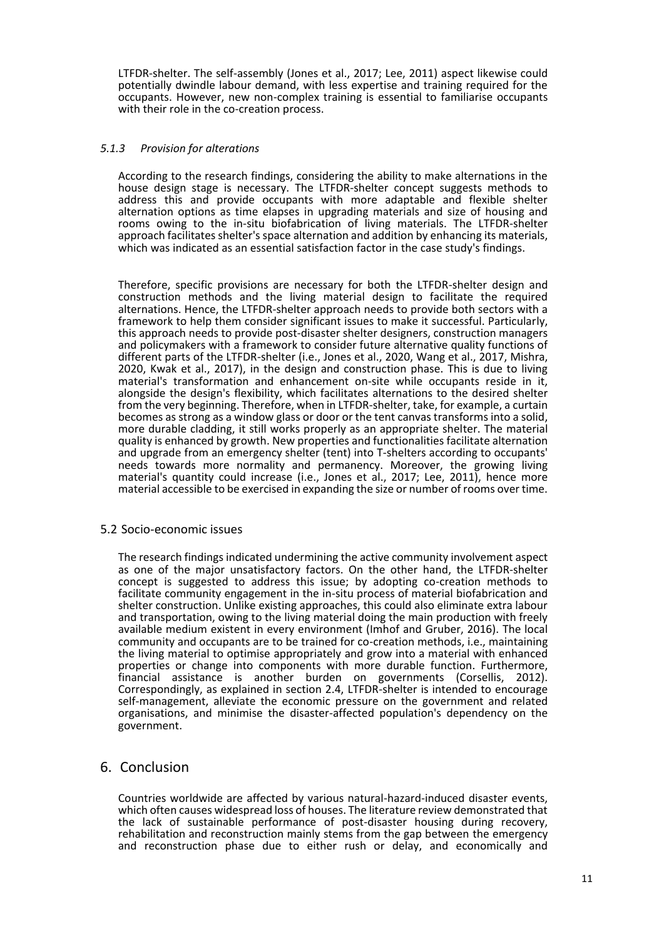LTFDR-shelter. The self-assembly (Jones et al., 2017; Lee, 2011) aspect likewise could potentially dwindle labour demand, with less expertise and training required for the occupants. However, new non-complex training is essential to familiarise occupants with their role in the co-creation process.

#### *5.1.3 Provision for alterations*

According to the research findings, considering the ability to make alternations in the house design stage is necessary. The LTFDR-shelter concept suggests methods to address this and provide occupants with more adaptable and flexible shelter alternation options as time elapses in upgrading materials and size of housing and rooms owing to the in-situ biofabrication of living materials. The LTFDR-shelter approach facilitates shelter's space alternation and addition by enhancing its materials, which was indicated as an essential satisfaction factor in the case study's findings.

Therefore, specific provisions are necessary for both the LTFDR-shelter design and construction methods and the living material design to facilitate the required alternations. Hence, the LTFDR-shelter approach needs to provide both sectors with a framework to help them consider significant issues to make it successful. Particularly, this approach needs to provide post-disaster shelter designers, construction managers and policymakers with a framework to consider future alternative quality functions of different parts of the LTFDR-shelter (i.e., Jones et al., 2020, Wang et al., 2017, Mishra, 2020, Kwak et al., 2017), in the design and construction phase. This is due to living material's transformation and enhancement on-site while occupants reside in it, alongside the design's flexibility, which facilitates alternations to the desired shelter from the very beginning. Therefore, when in LTFDR-shelter, take, for example, a curtain becomes as strong as a window glass or door or the tent canvas transforms into a solid, more durable cladding, it still works properly as an appropriate shelter. The material quality is enhanced by growth. New properties and functionalities facilitate alternation and upgrade from an emergency shelter (tent) into T-shelters according to occupants' needs towards more normality and permanency. Moreover, the growing living material's quantity could increase (i.e., Jones et al., 2017; Lee, 2011), hence more material accessible to be exercised in expanding the size or number of rooms over time.

#### 5.2 Socio-economic issues

The research findings indicated undermining the active community involvement aspect as one of the major unsatisfactory factors. On the other hand, the LTFDR-shelter concept is suggested to address this issue; by adopting co-creation methods to facilitate community engagement in the in-situ process of material biofabrication and shelter construction. Unlike existing approaches, this could also eliminate extra labour and transportation, owing to the living material doing the main production with freely available medium existent in every environment (Imhof and Gruber, 2016). The local community and occupants are to be trained for co-creation methods, i.e., maintaining the living material to optimise appropriately and grow into a material with enhanced properties or change into components with more durable function. Furthermore, financial assistance is another burden on governments (Corsellis, 2012). Correspondingly, as explained in section 2.4, LTFDR-shelter is intended to encourage self-management, alleviate the economic pressure on the government and related organisations, and minimise the disaster-affected population's dependency on the government.

## 6. Conclusion

Countries worldwide are affected by various natural-hazard-induced disaster events, which often causes widespread loss of houses. The literature review demonstrated that the lack of sustainable performance of post-disaster housing during recovery, rehabilitation and reconstruction mainly stems from the gap between the emergency and reconstruction phase due to either rush or delay, and economically and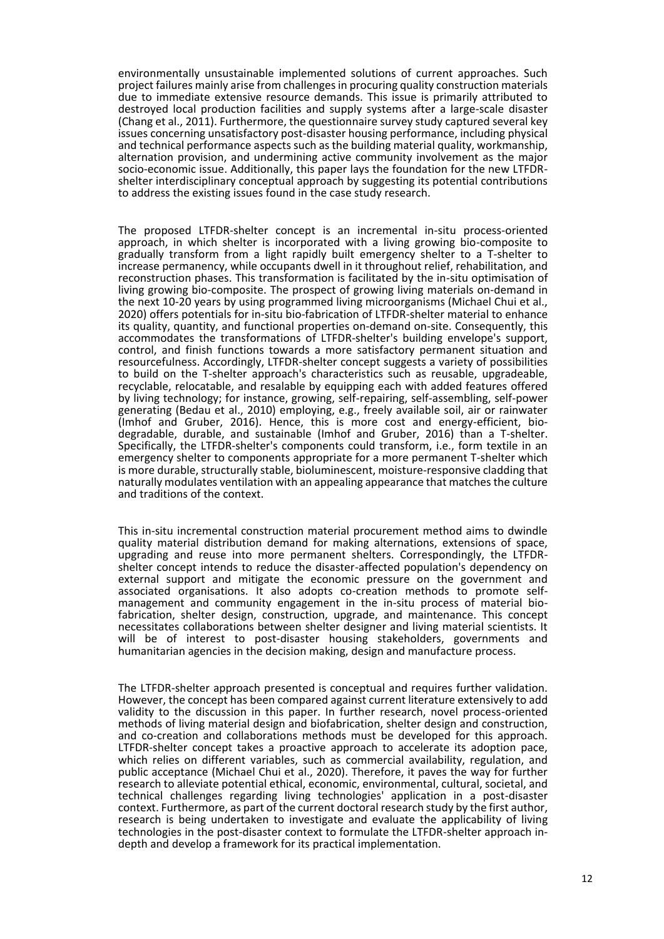environmentally unsustainable implemented solutions of current approaches. Such project failures mainly arise from challenges in procuring quality construction materials due to immediate extensive resource demands. This issue is primarily attributed to destroyed local production facilities and supply systems after a large-scale disaster (Chang et al., 2011). Furthermore, the questionnaire survey study captured several key issues concerning unsatisfactory post-disaster housing performance, including physical and technical performance aspects such as the building material quality, workmanship, alternation provision, and undermining active community involvement as the major socio-economic issue. Additionally, this paper lays the foundation for the new LTFDRshelter interdisciplinary conceptual approach by suggesting its potential contributions to address the existing issues found in the case study research.

The proposed LTFDR-shelter concept is an incremental in-situ process-oriented approach, in which shelter is incorporated with a living growing bio-composite to gradually transform from a light rapidly built emergency shelter to a T-shelter to increase permanency, while occupants dwell in it throughout relief, rehabilitation, and reconstruction phases. This transformation is facilitated by the in-situ optimisation of living growing bio-composite. The prospect of growing living materials on-demand in the next 10-20 years by using programmed living microorganisms (Michael Chui et al., 2020) offers potentials for in-situ bio-fabrication of LTFDR-shelter material to enhance its quality, quantity, and functional properties on-demand on-site. Consequently, this accommodates the transformations of LTFDR-shelter's building envelope's support, control, and finish functions towards a more satisfactory permanent situation and resourcefulness. Accordingly, LTFDR-shelter concept suggests a variety of possibilities to build on the T-shelter approach's characteristics such as reusable, upgradeable, recyclable, relocatable, and resalable by equipping each with added features offered by living technology; for instance, growing, self-repairing, self-assembling, self-power generating (Bedau et al., 2010) employing, e.g., freely available soil, air or rainwater (Imhof and Gruber, 2016). Hence, this is more cost and energy-efficient, biodegradable, durable, and sustainable (Imhof and Gruber, 2016) than a T-shelter. Specifically, the LTFDR-shelter's components could transform, i.e., form textile in an emergency shelter to components appropriate for a more permanent T-shelter which is more durable, structurally stable, bioluminescent, moisture-responsive cladding that naturally modulates ventilation with an appealing appearance that matches the culture and traditions of the context.

This in-situ incremental construction material procurement method aims to dwindle quality material distribution demand for making alternations, extensions of space, upgrading and reuse into more permanent shelters. Correspondingly, the LTFDRshelter concept intends to reduce the disaster-affected population's dependency on external support and mitigate the economic pressure on the government and associated organisations. It also adopts co-creation methods to promote selfmanagement and community engagement in the in-situ process of material biofabrication, shelter design, construction, upgrade, and maintenance. This concept necessitates collaborations between shelter designer and living material scientists. It will be of interest to post-disaster housing stakeholders, governments and humanitarian agencies in the decision making, design and manufacture process.

The LTFDR-shelter approach presented is conceptual and requires further validation. However, the concept has been compared against current literature extensively to add validity to the discussion in this paper. In further research, novel process-oriented methods of living material design and biofabrication, shelter design and construction, and co-creation and collaborations methods must be developed for this approach. LTFDR-shelter concept takes a proactive approach to accelerate its adoption pace, which relies on different variables, such as commercial availability, regulation, and public acceptance (Michael Chui et al., 2020). Therefore, it paves the way for further research to alleviate potential ethical, economic, environmental, cultural, societal, and technical challenges regarding living technologies' application in a post-disaster context. Furthermore, as part of the current doctoral research study by the first author, research is being undertaken to investigate and evaluate the applicability of living technologies in the post-disaster context to formulate the LTFDR-shelter approach indepth and develop a framework for its practical implementation.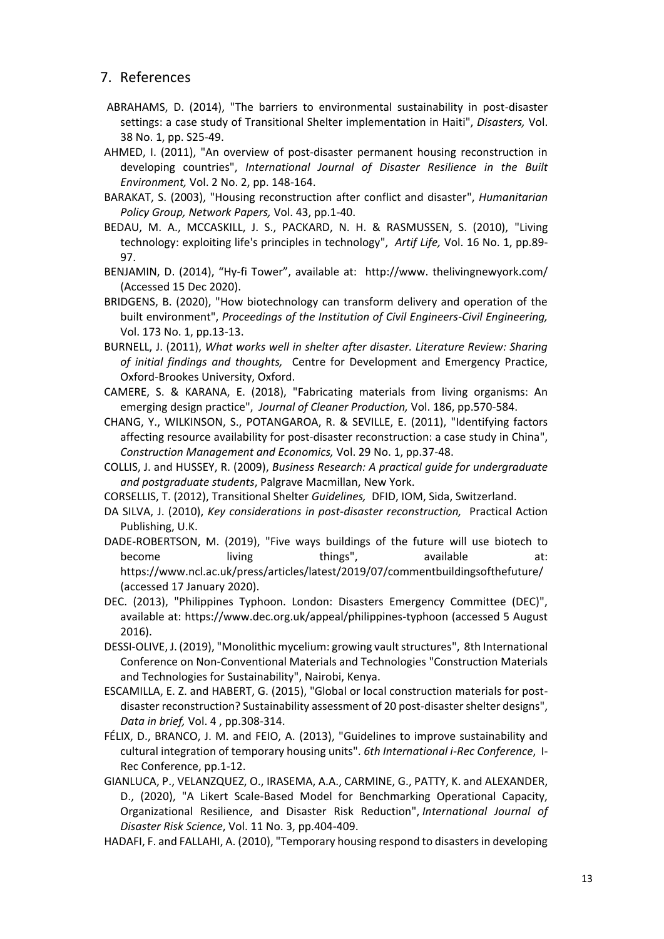# 7. References

- ABRAHAMS, D. (2014), "The barriers to environmental sustainability in post-disaster settings: a case study of Transitional Shelter implementation in Haiti", *Disasters,* Vol. 38 No. 1, pp. S25-49.
- AHMED, I. (2011), "An overview of post-disaster permanent housing reconstruction in developing countries", *International Journal of Disaster Resilience in the Built Environment,* Vol. 2 No. 2, pp. 148-164.
- BARAKAT, S. (2003), "Housing reconstruction after conflict and disaster", *Humanitarian Policy Group, Network Papers,* Vol. 43, pp.1-40.
- BEDAU, M. A., MCCASKILL, J. S., PACKARD, N. H. & RASMUSSEN, S. (2010), "Living technology: exploiting life's principles in technology", *Artif Life,* Vol. 16 No. 1, pp.89- 97.
- BENJAMIN, D. (2014), "Hy-fi Tower", available at: [http://www.](http://www/) thelivingnewyork.com/ (Accessed 15 Dec 2020).
- BRIDGENS, B. (2020), "How biotechnology can transform delivery and operation of the built environment", *Proceedings of the Institution of Civil Engineers-Civil Engineering,* Vol. 173 No. 1, pp.13-13.
- BURNELL, J. (2011), *What works well in shelter after disaster. Literature Review: Sharing of initial findings and thoughts,* Centre for Development and Emergency Practice, Oxford-Brookes University, Oxford.
- CAMERE, S. & KARANA, E. (2018), "Fabricating materials from living organisms: An emerging design practice", *Journal of Cleaner Production,* Vol. 186, pp.570-584.
- CHANG, Y., WILKINSON, S., POTANGAROA, R. & SEVILLE, E. (2011), "Identifying factors affecting resource availability for post-disaster reconstruction: a case study in China", *Construction Management and Economics,* Vol. 29 No. 1, pp.37-48.
- <span id="page-12-0"></span>COLLIS, J. and HUSSEY, R. (2009), *Business Research: A practical guide for undergraduate and postgraduate students*, Palgrave Macmillan, New York.
- CORSELLIS, T. (2012), Transitional Shelter *Guidelines,* DFID, IOM, Sida, Switzerland.
- DA SILVA, J. (2010), *Key considerations in post-disaster reconstruction,* Practical Action Publishing, U.K.
- DADE-ROBERTSON, M. (2019), "Five ways buildings of the future will use biotech to become living things", available at: https://www.ncl.ac.uk/press/articles/latest/2019/07/commentbuildingsofthefuture/ (accessed 17 January 2020).
- DEC. (2013), "Philippines Typhoon. London: Disasters Emergency Committee (DEC)", available at: https://www.dec.org.uk/appeal/philippines-typhoon (accessed 5 August 2016).
- DESSI-OLIVE, J. (2019), "Monolithic mycelium: growing vault structures", 8th International Conference on Non-Conventional Materials and Technologies "Construction Materials and Technologies for Sustainability", Nairobi, Kenya.
- ESCAMILLA, E. Z. and HABERT, G. (2015), "Global or local construction materials for postdisaster reconstruction? Sustainability assessment of 20 post-disaster shelter designs", *Data in brief,* Vol. 4 , pp.308-314.
- FÉLIX, D., BRANCO, J. M. and FEIO, A. (2013), "Guidelines to improve sustainability and cultural integration of temporary housing units". *6th International i-Rec Conference*, I-Rec Conference, pp.1-12.
- GIANLUCA, P., VELANZQUEZ, O., IRASEMA, A.A., CARMINE, G., PATTY, K. and ALEXANDER, D., (2020), "A Likert Scale-Based Model for Benchmarking Operational Capacity, Organizational Resilience, and Disaster Risk Reduction", *International Journal of Disaster Risk Science*, Vol. 11 No. 3, pp.404-409.
- HADAFI, F. and FALLAHI, A. (2010), "Temporary housing respond to disasters in developing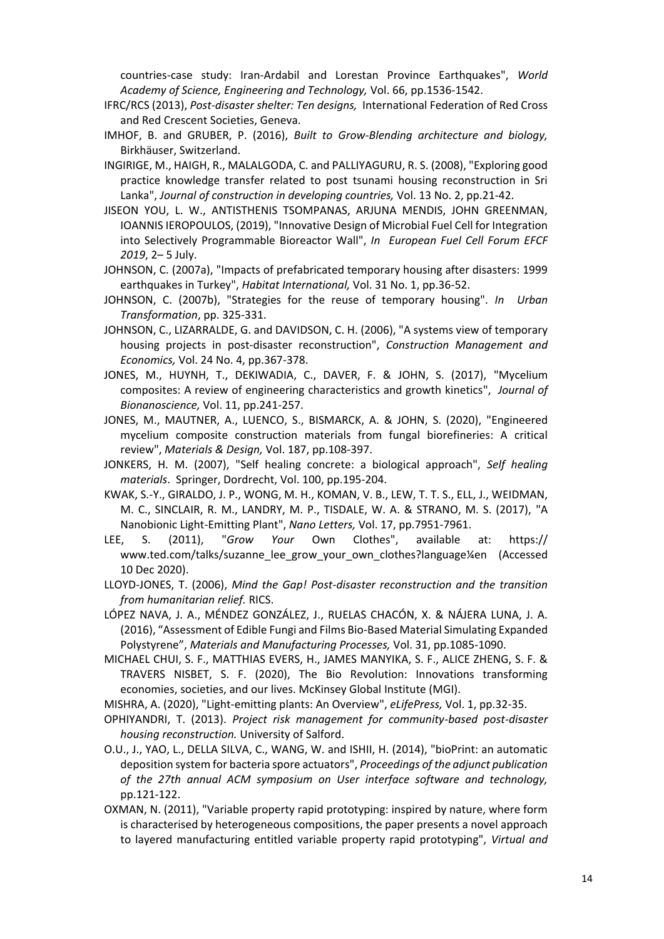countries-case study: Iran-Ardabil and Lorestan Province Earthquakes", *World Academy of Science, Engineering and Technology,* Vol. 66, pp.1536-1542.

- IFRC/RCS (2013), *Post-disaster shelter: Ten designs,* International Federation of Red Cross and Red Crescent Societies, Geneva.
- IMHOF, B. and GRUBER, P. (2016), *Built to Grow-Blending architecture and biology,*  Birkhäuser, Switzerland.
- INGIRIGE, M., HAIGH, R., MALALGODA, C. and PALLIYAGURU, R. S. (2008), "Exploring good practice knowledge transfer related to post tsunami housing reconstruction in Sri Lanka", *Journal of construction in developing countries,* Vol. 13 No. 2, pp.21-42.
- JISEON YOU, L. W., ANTISTHENIS TSOMPANAS, ARJUNA MENDIS, JOHN GREENMAN, IOANNIS IEROPOULOS, (2019), "Innovative Design of Microbial Fuel Cell for Integration into Selectively Programmable Bioreactor Wall", *In European Fuel Cell Forum EFCF 2019*, 2– 5 July.
- JOHNSON, C. (2007a), "Impacts of prefabricated temporary housing after disasters: 1999 earthquakes in Turkey", *Habitat International,* Vol. 31 No. 1, pp.36-52.
- JOHNSON, C. (2007b), "Strategies for the reuse of temporary housing". *In Urban Transformation*, pp. 325-331.
- JOHNSON, C., LIZARRALDE, G. and DAVIDSON, C. H. (2006), "A systems view of temporary housing projects in post‐disaster reconstruction", *Construction Management and Economics,* Vol. 24 No. 4, pp.367-378.
- JONES, M., HUYNH, T., DEKIWADIA, C., DAVER, F. & JOHN, S. (2017), "Mycelium composites: A review of engineering characteristics and growth kinetics", *Journal of Bionanoscience,* Vol. 11, pp.241-257.
- JONES, M., MAUTNER, A., LUENCO, S., BISMARCK, A. & JOHN, S. (2020), "Engineered mycelium composite construction materials from fungal biorefineries: A critical review", *Materials & Design,* Vol. 187, pp.108-397.
- JONKERS, H. M. (2007), "Self healing concrete: a biological approach", *Self healing materials*. Springer, Dordrecht, Vol. 100, pp.195-204.
- KWAK, S.-Y., GIRALDO, J. P., WONG, M. H., KOMAN, V. B., LEW, T. T. S., ELL, J., WEIDMAN, M. C., SINCLAIR, R. M., LANDRY, M. P., TISDALE, W. A. & STRANO, M. S. (2017), "A Nanobionic Light-Emitting Plant", *Nano Letters,* Vol. 17, pp.7951-7961.
- LEE, S. (2011), "*Grow Your* Own Clothes", available at: https:// [www.ted.com/talks/suzanne\\_lee\\_grow\\_your\\_own\\_clothes?language¼](https://livenorthumbriaac-my.sharepoint.com/personal/w19015490_northumbria_ac_uk/Documents/1/Sara/PAPERS/BEPAM%20Paper/Revision/www.ted.com/talks/suzanne_lee_grow_your_own_clothes?language)en (Accessed 10 Dec 2020).
- LLOYD-JONES, T. (2006), *Mind the Gap! Post-disaster reconstruction and the transition from humanitarian relief.* RICS.
- LÓPEZ NAVA, J. A., MÉNDEZ GONZÁLEZ, J., RUELAS CHACÓN, X. & NÁJERA LUNA, J. A. (2016), "Assessment of Edible Fungi and Films Bio-Based Material Simulating Expanded Polystyrene", *Materials and Manufacturing Processes,* Vol. 31, pp.1085-1090.
- MICHAEL CHUI, S. F., MATTHIAS EVERS, H., JAMES MANYIKA, S. F., ALICE ZHENG, S. F. & TRAVERS NISBET, S. F. (2020), The Bio Revolution: Innovations transforming economies, societies, and our lives. McKinsey Global Institute (MGI).
- MISHRA, A. (2020), "Light-emitting plants: An Overview", *eLifePress,* Vol. 1, pp.32-35.
- OPHIYANDRI, T. (2013). *Project risk management for community-based post-disaster housing reconstruction.* University of Salford.
- O.U., J., YAO, L., DELLA SILVA, C., WANG, W. and ISHII, H. (2014), "bioPrint: an automatic deposition system for bacteria spore actuators", *Proceedings of the adjunct publication of the 27th annual ACM symposium on User interface software and technology,* pp.121-122.
- OXMAN, N. (2011), "Variable property rapid prototyping: inspired by nature, where form is characterised by heterogeneous compositions, the paper presents a novel approach to layered manufacturing entitled variable property rapid prototyping", *Virtual and*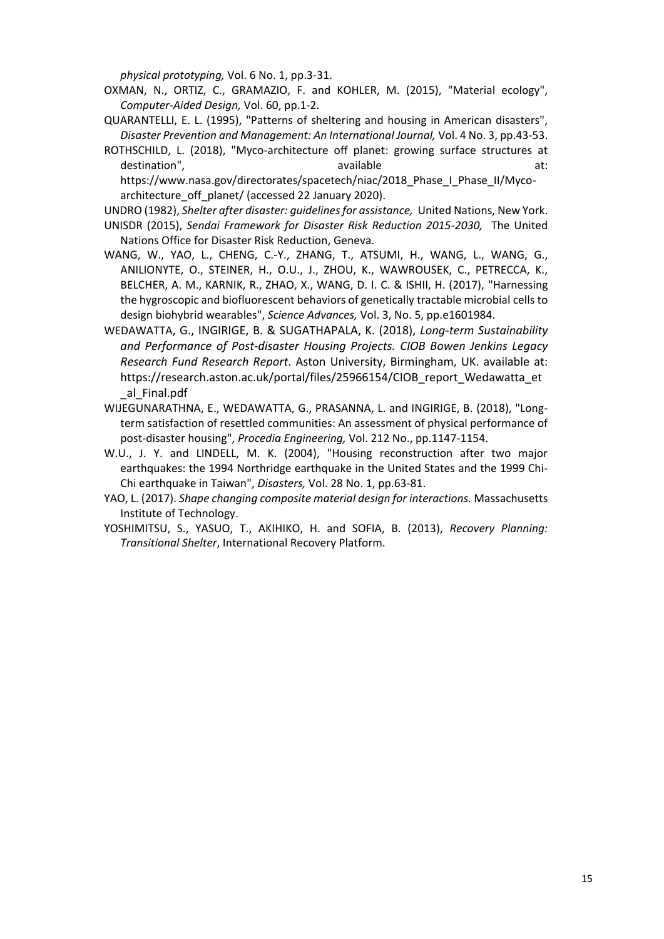*physical prototyping,* Vol. 6 No. 1, pp.3-31.

- OXMAN, N., ORTIZ, C., GRAMAZIO, F. and KOHLER, M. (2015), "Material ecology", *Computer-Aided Design,* Vol. 60, pp.1-2.
- QUARANTELLI, E. L. (1995), "Patterns of sheltering and housing in American disasters", *Disaster Prevention and Management: An International Journal,* Vol. 4 No. 3, pp.43-53.
- ROTHSCHILD, L. (2018), "Myco-architecture off planet: growing surface structures at destination", available at: the available at: the at: the at: the at: the at: the at: the at: the at: the at: t https://www.nasa.gov/directorates/spacetech/niac/2018 Phase\_I\_Phase\_II/Mycoarchitecture\_off\_planet/ (accessed 22 January 2020).
- UNDRO (1982), *Shelter after disaster: guidelines for assistance,* United Nations, New York.
- UNISDR (2015), *Sendai Framework for Disaster Risk Reduction 2015-2030,* The United Nations Office for Disaster Risk Reduction, Geneva.
- WANG, W., YAO, L., CHENG, C.-Y., ZHANG, T., ATSUMI, H., WANG, L., WANG, G., ANILIONYTE, O., STEINER, H., O.U., J., ZHOU, K., WAWROUSEK, C., PETRECCA, K., BELCHER, A. M., KARNIK, R., ZHAO, X., WANG, D. I. C. & ISHII, H. (2017), "Harnessing the hygroscopic and biofluorescent behaviors of genetically tractable microbial cells to design biohybrid wearables", *Science Advances,* Vol. 3, No. 5, pp.e1601984.
- WEDAWATTA, G., INGIRIGE, B. & SUGATHAPALA, K. (2018), *Long-term Sustainability and Performance of Post-disaster Housing Projects. CIOB Bowen Jenkins Legacy Research Fund Research Report*. Aston University, Birmingham, UK. available at: https://research.aston.ac.uk/portal/files/25966154/CIOB\_report\_Wedawatta\_et \_al\_Final.pdf
- WIJEGUNARATHNA, E., WEDAWATTA, G., PRASANNA, L. and INGIRIGE, B. (2018), "Longterm satisfaction of resettled communities: An assessment of physical performance of post-disaster housing", *Procedia Engineering,* Vol. 212 No., pp.1147-1154.
- W.U., J. Y. and LINDELL, M. K. (2004), "Housing reconstruction after two major earthquakes: the 1994 Northridge earthquake in the United States and the 1999 Chi-Chi earthquake in Taiwan", *Disasters,* Vol. 28 No. 1, pp.63-81.
- YAO, L. (2017). *Shape changing composite material design for interactions.* Massachusetts Institute of Technology.
- YOSHIMITSU, S., YASUO, T., AKIHIKO, H. and SOFIA, B. (2013), *Recovery Planning: Transitional Shelter*, International Recovery Platform.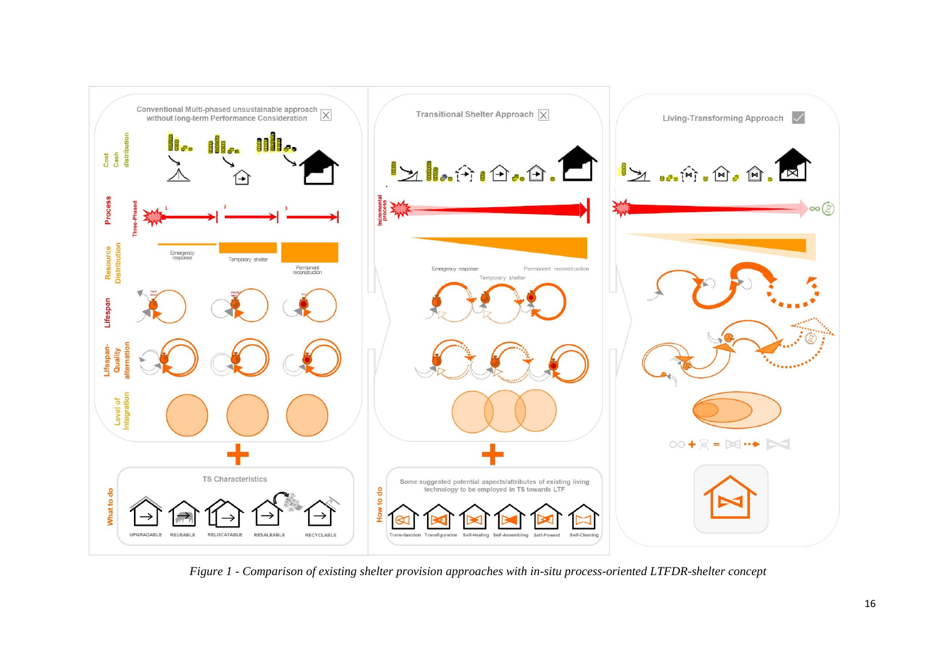

*Figure 1 - Comparison of existing shelter provision approaches with in-situ process-oriented LTFDR-shelter concept*